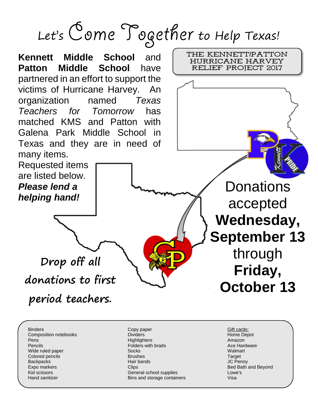## Let's Come Together to Help Texas!



Binders Composition notebooks Pens Pencils Wide ruled paper Colored pencils **Backpacks** Expo markers Kid scissors Hand sanitizer

Copy paper Dividers **Highlighters** Folders with brads **Socks** Brushes Hair bands **Clips** General school supplies Bins and storage containers

Gift cards: Home Depot Amazon Ace Hardware Walmart **Target** JC Penny Bed Bath and Beyond Lowe's Visa